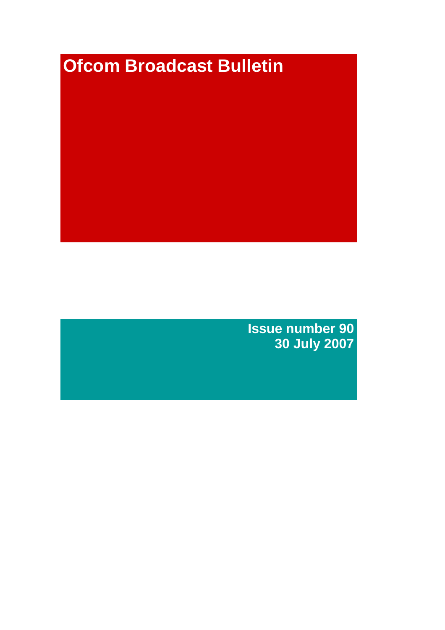# **Ofcom Broadcast Bulletin**

**Issue number 90 30 July 2007**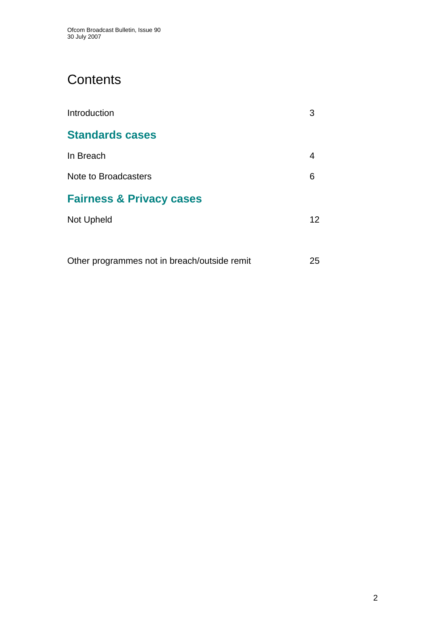# **Contents**

| Introduction                                 | 3  |
|----------------------------------------------|----|
| <b>Standards cases</b>                       |    |
| In Breach                                    | 4  |
| Note to Broadcasters                         | 6  |
| <b>Fairness &amp; Privacy cases</b>          |    |
| Not Upheld                                   | 12 |
|                                              |    |
| Other programmes not in breach/outside remit | 25 |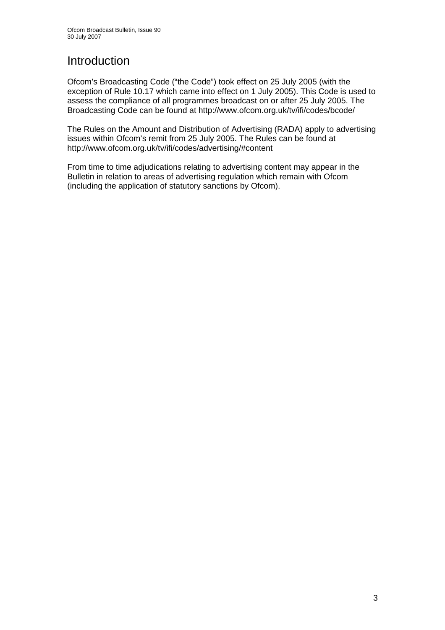# Introduction

Ofcom's Broadcasting Code ("the Code") took effect on 25 July 2005 (with the exception of Rule 10.17 which came into effect on 1 July 2005). This Code is used to assess the compliance of all programmes broadcast on or after 25 July 2005. The Broadcasting Code can be found at http://www.ofcom.org.uk/tv/ifi/codes/bcode/

The Rules on the Amount and Distribution of Advertising (RADA) apply to advertising issues within Ofcom's remit from 25 July 2005. The Rules can be found at http://www.ofcom.org.uk/tv/ifi/codes/advertising/#content

From time to time adjudications relating to advertising content may appear in the Bulletin in relation to areas of advertising regulation which remain with Ofcom (including the application of statutory sanctions by Ofcom).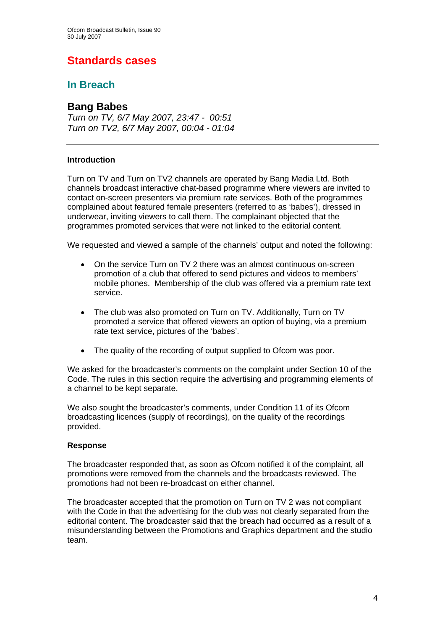# **Standards cases**

## **In Breach**

## **Bang Babes**

*Turn on TV, 6/7 May 2007, 23:47 - 00:51 Turn on TV2, 6/7 May 2007, 00:04 - 01:04* 

#### **Introduction**

Turn on TV and Turn on TV2 channels are operated by Bang Media Ltd. Both channels broadcast interactive chat-based programme where viewers are invited to contact on-screen presenters via premium rate services. Both of the programmes complained about featured female presenters (referred to as 'babes'), dressed in underwear, inviting viewers to call them. The complainant objected that the programmes promoted services that were not linked to the editorial content.

We requested and viewed a sample of the channels' output and noted the following:

- On the service Turn on TV 2 there was an almost continuous on-screen promotion of a club that offered to send pictures and videos to members' mobile phones. Membership of the club was offered via a premium rate text service.
- The club was also promoted on Turn on TV. Additionally, Turn on TV promoted a service that offered viewers an option of buying, via a premium rate text service, pictures of the 'babes'.
- The quality of the recording of output supplied to Ofcom was poor.

We asked for the broadcaster's comments on the complaint under Section 10 of the Code. The rules in this section require the advertising and programming elements of a channel to be kept separate.

We also sought the broadcaster's comments, under Condition 11 of its Ofcom broadcasting licences (supply of recordings), on the quality of the recordings provided.

#### **Response**

The broadcaster responded that, as soon as Ofcom notified it of the complaint, all promotions were removed from the channels and the broadcasts reviewed. The promotions had not been re-broadcast on either channel.

The broadcaster accepted that the promotion on Turn on TV 2 was not compliant with the Code in that the advertising for the club was not clearly separated from the editorial content. The broadcaster said that the breach had occurred as a result of a misunderstanding between the Promotions and Graphics department and the studio team.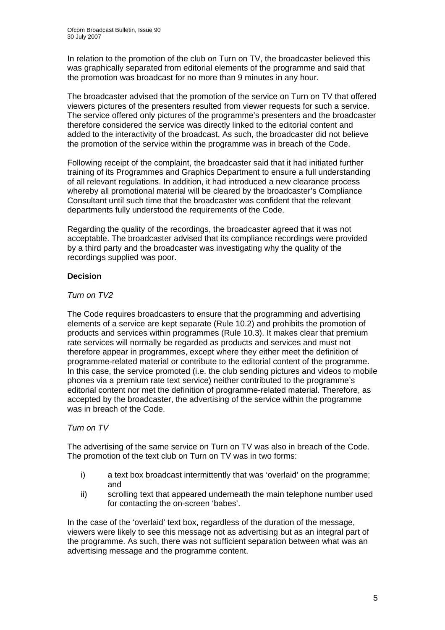In relation to the promotion of the club on Turn on TV, the broadcaster believed this was graphically separated from editorial elements of the programme and said that the promotion was broadcast for no more than 9 minutes in any hour.

The broadcaster advised that the promotion of the service on Turn on TV that offered viewers pictures of the presenters resulted from viewer requests for such a service. The service offered only pictures of the programme's presenters and the broadcaster therefore considered the service was directly linked to the editorial content and added to the interactivity of the broadcast. As such, the broadcaster did not believe the promotion of the service within the programme was in breach of the Code.

Following receipt of the complaint, the broadcaster said that it had initiated further training of its Programmes and Graphics Department to ensure a full understanding of all relevant regulations. In addition, it had introduced a new clearance process whereby all promotional material will be cleared by the broadcaster's Compliance Consultant until such time that the broadcaster was confident that the relevant departments fully understood the requirements of the Code.

Regarding the quality of the recordings, the broadcaster agreed that it was not acceptable. The broadcaster advised that its compliance recordings were provided by a third party and the broadcaster was investigating why the quality of the recordings supplied was poor.

#### **Decision**

#### *Turn on TV2*

The Code requires broadcasters to ensure that the programming and advertising elements of a service are kept separate (Rule 10.2) and prohibits the promotion of products and services within programmes (Rule 10.3). It makes clear that premium rate services will normally be regarded as products and services and must not therefore appear in programmes, except where they either meet the definition of programme-related material or contribute to the editorial content of the programme. In this case, the service promoted (i.e. the club sending pictures and videos to mobile phones via a premium rate text service) neither contributed to the programme's editorial content nor met the definition of programme-related material. Therefore, as accepted by the broadcaster, the advertising of the service within the programme was in breach of the Code.

#### *Turn on TV*

The advertising of the same service on Turn on TV was also in breach of the Code. The promotion of the text club on Turn on TV was in two forms:

- i) a text box broadcast intermittently that was 'overlaid' on the programme; and
- ii) scrolling text that appeared underneath the main telephone number used for contacting the on-screen 'babes'.

In the case of the 'overlaid' text box, regardless of the duration of the message, viewers were likely to see this message not as advertising but as an integral part of the programme. As such, there was not sufficient separation between what was an advertising message and the programme content.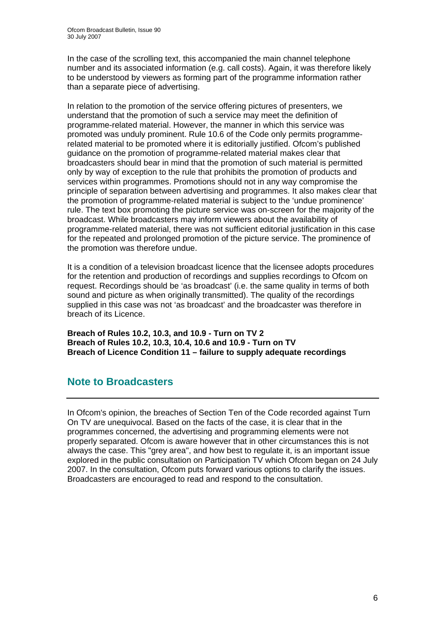In the case of the scrolling text, this accompanied the main channel telephone number and its associated information (e.g. call costs). Again, it was therefore likely to be understood by viewers as forming part of the programme information rather than a separate piece of advertising.

In relation to the promotion of the service offering pictures of presenters, we understand that the promotion of such a service may meet the definition of programme-related material. However, the manner in which this service was promoted was unduly prominent. Rule 10.6 of the Code only permits programmerelated material to be promoted where it is editorially justified. Ofcom's published guidance on the promotion of programme-related material makes clear that broadcasters should bear in mind that the promotion of such material is permitted only by way of exception to the rule that prohibits the promotion of products and services within programmes. Promotions should not in any way compromise the principle of separation between advertising and programmes. It also makes clear that the promotion of programme-related material is subject to the 'undue prominence' rule. The text box promoting the picture service was on-screen for the majority of the broadcast. While broadcasters may inform viewers about the availability of programme-related material, there was not sufficient editorial justification in this case for the repeated and prolonged promotion of the picture service. The prominence of the promotion was therefore undue.

It is a condition of a television broadcast licence that the licensee adopts procedures for the retention and production of recordings and supplies recordings to Ofcom on request. Recordings should be 'as broadcast' (i.e. the same quality in terms of both sound and picture as when originally transmitted). The quality of the recordings supplied in this case was not 'as broadcast' and the broadcaster was therefore in breach of its Licence.

**Breach of Rules 10.2, 10.3, and 10.9 - Turn on TV 2 Breach of Rules 10.2, 10.3, 10.4, 10.6 and 10.9 - Turn on TV Breach of Licence Condition 11 – failure to supply adequate recordings** 

## **Note to Broadcasters**

In Ofcom's opinion, the breaches of Section Ten of the Code recorded against Turn On TV are unequivocal. Based on the facts of the case, it is clear that in the programmes concerned, the advertising and programming elements were not properly separated. Ofcom is aware however that in other circumstances this is not always the case. This "grey area", and how best to regulate it, is an important issue explored in the public consultation on Participation TV which Ofcom began on 24 July 2007. In the consultation, Ofcom puts forward various options to clarify the issues. Broadcasters are encouraged to read and respond to the consultation.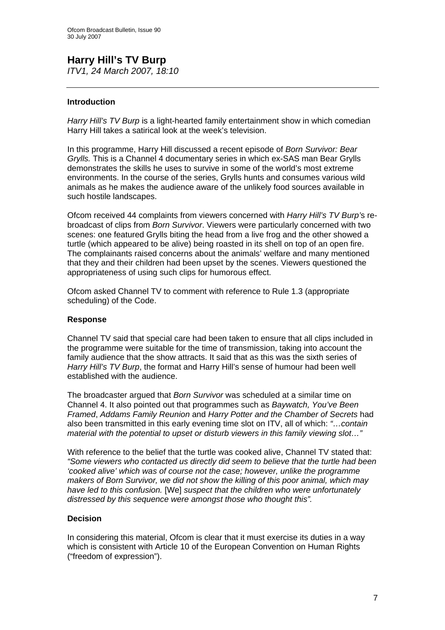#### **Harry Hill's TV Burp**  *ITV1, 24 March 2007, 18:10*

#### **Introduction**

*Harry Hill's TV Burp* is a light-hearted family entertainment show in which comedian Harry Hill takes a satirical look at the week's television.

In this programme, Harry Hill discussed a recent episode of *Born Survivor: Bear Grylls.* This is a Channel 4 documentary series in which ex-SAS man Bear Grylls demonstrates the skills he uses to survive in some of the world's most extreme environments. In the course of the series, Grylls hunts and consumes various wild animals as he makes the audience aware of the unlikely food sources available in such hostile landscapes.

Ofcom received 44 complaints from viewers concerned with *Harry Hill's TV Burp'*s rebroadcast of clips from *Born Survivor*. Viewers were particularly concerned with two scenes: one featured Grylls biting the head from a live frog and the other showed a turtle (which appeared to be alive) being roasted in its shell on top of an open fire. The complainants raised concerns about the animals' welfare and many mentioned that they and their children had been upset by the scenes. Viewers questioned the appropriateness of using such clips for humorous effect.

Ofcom asked Channel TV to comment with reference to Rule 1.3 (appropriate scheduling) of the Code.

#### **Response**

Channel TV said that special care had been taken to ensure that all clips included in the programme were suitable for the time of transmission, taking into account the family audience that the show attracts. It said that as this was the sixth series of *Harry Hill's TV Burp*, the format and Harry Hill's sense of humour had been well established with the audience.

The broadcaster argued that *Born Survivor* was scheduled at a similar time on Channel 4. It also pointed out that programmes such as *Baywatch, You've Been Framed*, *Addams Family Reunion* and *Harry Potter and the Chamber of Secrets* had also been transmitted in this early evening time slot on ITV, all of which: *"…contain material with the potential to upset or disturb viewers in this family viewing slot…"* 

With reference to the belief that the turtle was cooked alive, Channel TV stated that: *"Some viewers who contacted us directly did seem to believe that the turtle had been 'cooked alive' which was of course not the case; however, unlike the programme makers of Born Survivor, we did not show the killing of this poor animal, which may have led to this confusion.* [We] *suspect that the children who were unfortunately distressed by this sequence were amongst those who thought this".* 

#### **Decision**

In considering this material, Ofcom is clear that it must exercise its duties in a way which is consistent with Article 10 of the European Convention on Human Rights ("freedom of expression").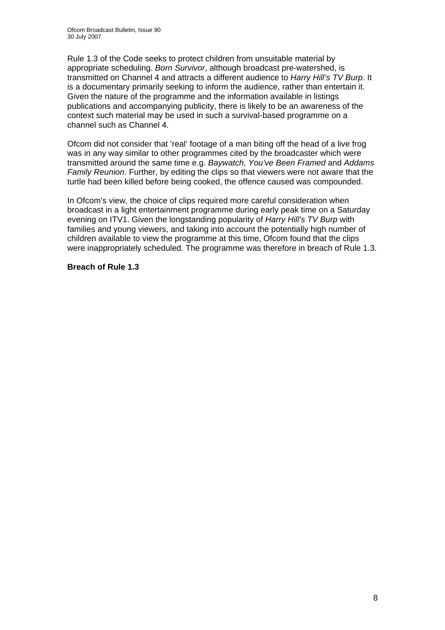Rule 1.3 of the Code seeks to protect children from unsuitable material by appropriate scheduling. *Born Survivor*, although broadcast pre-watershed, is transmitted on Channel 4 and attracts a different audience to *Harry Hill's TV Burp*. It is a documentary primarily seeking to inform the audience, rather than entertain it. Given the nature of the programme and the information available in listings publications and accompanying publicity, there is likely to be an awareness of the context such material may be used in such a survival-based programme on a channel such as Channel 4.

Ofcom did not consider that 'real' footage of a man biting off the head of a live frog was in any way similar to other programmes cited by the broadcaster which were transmitted around the same time e.g. *Baywatch, You've Been Framed* and *Addams Family Reunion*. Further, by editing the clips so that viewers were not aware that the turtle had been killed before being cooked, the offence caused was compounded.

In Ofcom's view, the choice of clips required more careful consideration when broadcast in a light entertainment programme during early peak time on a Saturday evening on ITV1. Given the longstanding popularity of *Harry Hill's TV Burp* with families and young viewers, and taking into account the potentially high number of children available to view the programme at this time, Ofcom found that the clips were inappropriately scheduled. The programme was therefore in breach of Rule 1.3.

#### **Breach of Rule 1.3**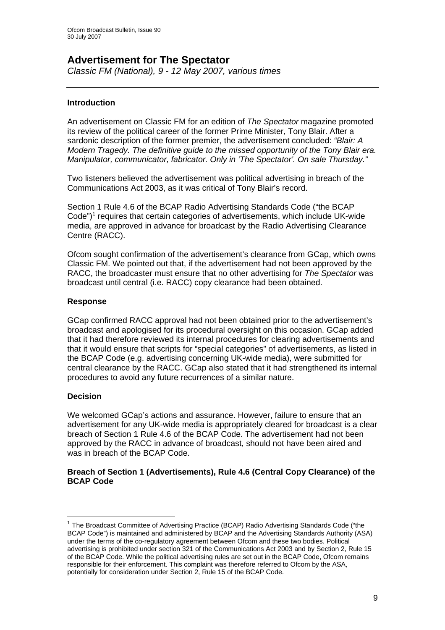## **Advertisement for The Spectator**

*Classic FM (National), 9 - 12 May 2007, various times* 

#### **Introduction**

An advertisement on Classic FM for an edition of *The Spectator* magazine promoted its review of the political career of the former Prime Minister, Tony Blair. After a sardonic description of the former premier, the advertisement concluded: *"Blair: A Modern Tragedy. The definitive guide to the missed opportunity of the Tony Blair era. Manipulator, communicator, fabricator. Only in 'The Spectator'. On sale Thursday."*

Two listeners believed the advertisement was political advertising in breach of the Communications Act 2003, as it was critical of Tony Blair's record.

Section 1 Rule 4.6 of the BCAP Radio Advertising Standards Code ("the BCAP Code") $1$  requires that certain categories of advertisements, which include UK-wide media, are approved in advance for broadcast by the Radio Advertising Clearance Centre (RACC).

Ofcom sought confirmation of the advertisement's clearance from GCap, which owns Classic FM. We pointed out that, if the advertisement had not been approved by the RACC, the broadcaster must ensure that no other advertising for *The Spectator* was broadcast until central (i.e. RACC) copy clearance had been obtained.

#### **Response**

GCap confirmed RACC approval had not been obtained prior to the advertisement's broadcast and apologised for its procedural oversight on this occasion. GCap added that it had therefore reviewed its internal procedures for clearing advertisements and that it would ensure that scripts for "special categories" of advertisements, as listed in the BCAP Code (e.g. advertising concerning UK-wide media), were submitted for central clearance by the RACC. GCap also stated that it had strengthened its internal procedures to avoid any future recurrences of a similar nature.

#### **Decision**

 $\overline{a}$ 

We welcomed GCap's actions and assurance. However, failure to ensure that an advertisement for any UK-wide media is appropriately cleared for broadcast is a clear breach of Section 1 Rule 4.6 of the BCAP Code. The advertisement had not been approved by the RACC in advance of broadcast, should not have been aired and was in breach of the BCAP Code.

#### **Breach of Section 1 (Advertisements), Rule 4.6 (Central Copy Clearance) of the BCAP Code**

<sup>&</sup>lt;sup>1</sup> The Broadcast Committee of Advertising Practice (BCAP) Radio Advertising Standards Code ("the BCAP Code") is maintained and administered by BCAP and the Advertising Standards Authority (ASA) under the terms of the co-regulatory agreement between Ofcom and these two bodies. Political advertising is prohibited under section 321 of the Communications Act 2003 and by Section 2, Rule 15 of the BCAP Code. While the political advertising rules are set out in the BCAP Code, Ofcom remains responsible for their enforcement. This complaint was therefore referred to Ofcom by the ASA, potentially for consideration under Section 2, Rule 15 of the BCAP Code.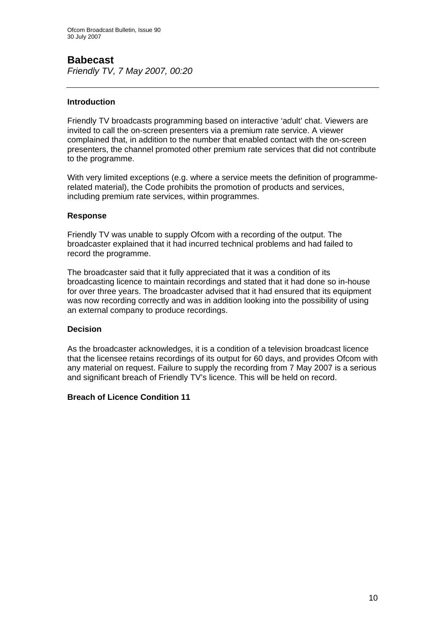## **Babecast**

*Friendly TV, 7 May 2007, 00:20* 

#### **Introduction**

Friendly TV broadcasts programming based on interactive 'adult' chat. Viewers are invited to call the on-screen presenters via a premium rate service. A viewer complained that, in addition to the number that enabled contact with the on-screen presenters, the channel promoted other premium rate services that did not contribute to the programme.

With very limited exceptions (e.g. where a service meets the definition of programmerelated material), the Code prohibits the promotion of products and services, including premium rate services, within programmes.

#### **Response**

Friendly TV was unable to supply Ofcom with a recording of the output. The broadcaster explained that it had incurred technical problems and had failed to record the programme.

The broadcaster said that it fully appreciated that it was a condition of its broadcasting licence to maintain recordings and stated that it had done so in-house for over three years. The broadcaster advised that it had ensured that its equipment was now recording correctly and was in addition looking into the possibility of using an external company to produce recordings.

#### **Decision**

As the broadcaster acknowledges, it is a condition of a television broadcast licence that the licensee retains recordings of its output for 60 days, and provides Ofcom with any material on request. Failure to supply the recording from 7 May 2007 is a serious and significant breach of Friendly TV's licence. This will be held on record.

#### **Breach of Licence Condition 11**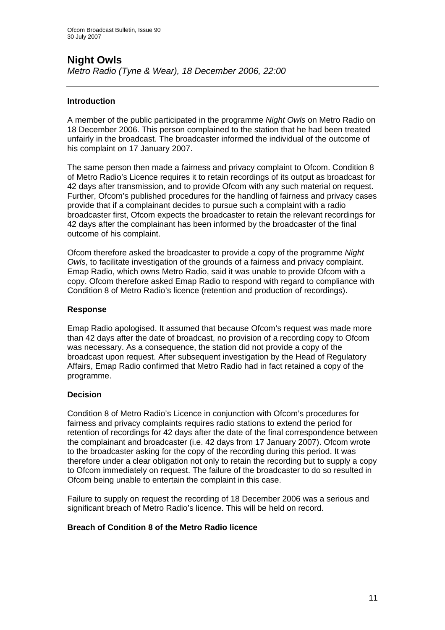# **Night Owls**

*Metro Radio (Tyne & Wear), 18 December 2006, 22:00* 

#### **Introduction**

A member of the public participated in the programme *Night Owls* on Metro Radio on 18 December 2006. This person complained to the station that he had been treated unfairly in the broadcast. The broadcaster informed the individual of the outcome of his complaint on 17 January 2007.

The same person then made a fairness and privacy complaint to Ofcom. Condition 8 of Metro Radio's Licence requires it to retain recordings of its output as broadcast for 42 days after transmission, and to provide Ofcom with any such material on request. Further, Ofcom's published procedures for the handling of fairness and privacy cases provide that if a complainant decides to pursue such a complaint with a radio broadcaster first, Ofcom expects the broadcaster to retain the relevant recordings for 42 days after the complainant has been informed by the broadcaster of the final outcome of his complaint.

Ofcom therefore asked the broadcaster to provide a copy of the programme *Night Owls*, to facilitate investigation of the grounds of a fairness and privacy complaint. Emap Radio, which owns Metro Radio, said it was unable to provide Ofcom with a copy. Ofcom therefore asked Emap Radio to respond with regard to compliance with Condition 8 of Metro Radio's licence (retention and production of recordings).

#### **Response**

Emap Radio apologised. It assumed that because Ofcom's request was made more than 42 days after the date of broadcast, no provision of a recording copy to Ofcom was necessary. As a consequence, the station did not provide a copy of the broadcast upon request. After subsequent investigation by the Head of Regulatory Affairs, Emap Radio confirmed that Metro Radio had in fact retained a copy of the programme.

#### **Decision**

Condition 8 of Metro Radio's Licence in conjunction with Ofcom's procedures for fairness and privacy complaints requires radio stations to extend the period for retention of recordings for 42 days after the date of the final correspondence between the complainant and broadcaster (i.e. 42 days from 17 January 2007). Ofcom wrote to the broadcaster asking for the copy of the recording during this period. It was therefore under a clear obligation not only to retain the recording but to supply a copy to Ofcom immediately on request. The failure of the broadcaster to do so resulted in Ofcom being unable to entertain the complaint in this case.

Failure to supply on request the recording of 18 December 2006 was a serious and significant breach of Metro Radio's licence. This will be held on record.

#### **Breach of Condition 8 of the Metro Radio licence**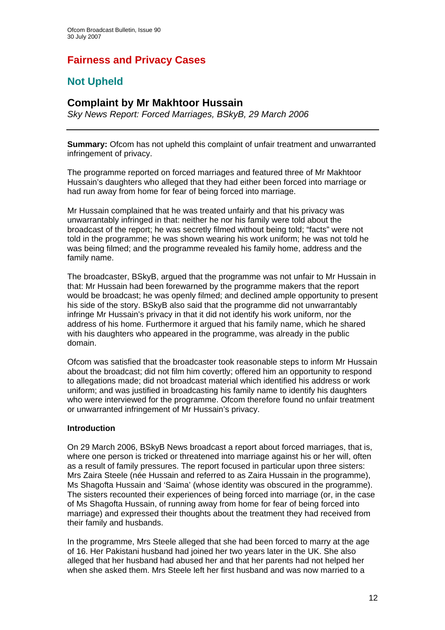# **Fairness and Privacy Cases**

# **Not Upheld**

### **Complaint by Mr Makhtoor Hussain**

*Sky News Report: Forced Marriages, BSkyB, 29 March 2006* 

**Summary:** Ofcom has not upheld this complaint of unfair treatment and unwarranted infringement of privacy.

The programme reported on forced marriages and featured three of Mr Makhtoor Hussain's daughters who alleged that they had either been forced into marriage or had run away from home for fear of being forced into marriage.

Mr Hussain complained that he was treated unfairly and that his privacy was unwarrantably infringed in that: neither he nor his family were told about the broadcast of the report; he was secretly filmed without being told; "facts" were not told in the programme; he was shown wearing his work uniform; he was not told he was being filmed; and the programme revealed his family home, address and the family name.

The broadcaster, BSkyB, argued that the programme was not unfair to Mr Hussain in that: Mr Hussain had been forewarned by the programme makers that the report would be broadcast; he was openly filmed; and declined ample opportunity to present his side of the story. BSkyB also said that the programme did not unwarrantably infringe Mr Hussain's privacy in that it did not identify his work uniform, nor the address of his home. Furthermore it argued that his family name, which he shared with his daughters who appeared in the programme, was already in the public domain.

Ofcom was satisfied that the broadcaster took reasonable steps to inform Mr Hussain about the broadcast; did not film him covertly; offered him an opportunity to respond to allegations made; did not broadcast material which identified his address or work uniform; and was justified in broadcasting his family name to identify his daughters who were interviewed for the programme. Ofcom therefore found no unfair treatment or unwarranted infringement of Mr Hussain's privacy.

#### **Introduction**

On 29 March 2006, BSkyB News broadcast a report about forced marriages, that is, where one person is tricked or threatened into marriage against his or her will, often as a result of family pressures. The report focused in particular upon three sisters: Mrs Zaira Steele (née Hussain and referred to as Zaira Hussain in the programme), Ms Shagofta Hussain and 'Saima' (whose identity was obscured in the programme). The sisters recounted their experiences of being forced into marriage (or, in the case of Ms Shagofta Hussain, of running away from home for fear of being forced into marriage) and expressed their thoughts about the treatment they had received from their family and husbands.

In the programme, Mrs Steele alleged that she had been forced to marry at the age of 16. Her Pakistani husband had joined her two years later in the UK. She also alleged that her husband had abused her and that her parents had not helped her when she asked them. Mrs Steele left her first husband and was now married to a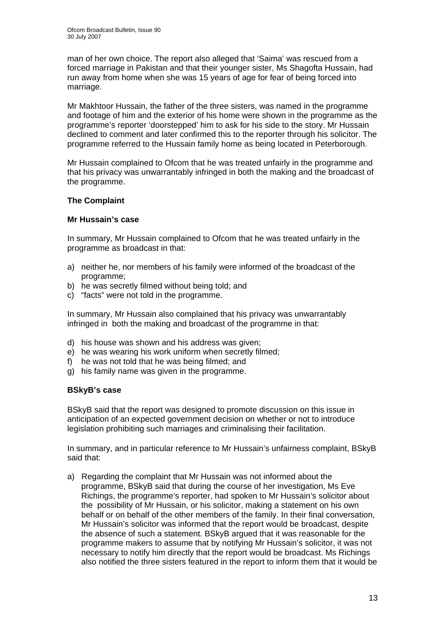man of her own choice. The report also alleged that 'Saima' was rescued from a forced marriage in Pakistan and that their younger sister, Ms Shagofta Hussain, had run away from home when she was 15 years of age for fear of being forced into marriage.

Mr Makhtoor Hussain, the father of the three sisters, was named in the programme and footage of him and the exterior of his home were shown in the programme as the programme's reporter 'doorstepped' him to ask for his side to the story. Mr Hussain declined to comment and later confirmed this to the reporter through his solicitor. The programme referred to the Hussain family home as being located in Peterborough.

Mr Hussain complained to Ofcom that he was treated unfairly in the programme and that his privacy was unwarrantably infringed in both the making and the broadcast of the programme.

#### **The Complaint**

#### **Mr Hussain's case**

In summary, Mr Hussain complained to Ofcom that he was treated unfairly in the programme as broadcast in that:

- a) neither he, nor members of his family were informed of the broadcast of the programme;
- b) he was secretly filmed without being told; and
- c) "facts" were not told in the programme.

In summary, Mr Hussain also complained that his privacy was unwarrantably infringed in both the making and broadcast of the programme in that:

- d) his house was shown and his address was given;
- e) he was wearing his work uniform when secretly filmed;
- f) he was not told that he was being filmed; and
- g) his family name was given in the programme.

#### **BSkyB's case**

BSkyB said that the report was designed to promote discussion on this issue in anticipation of an expected government decision on whether or not to introduce legislation prohibiting such marriages and criminalising their facilitation.

In summary, and in particular reference to Mr Hussain's unfairness complaint, BSkyB said that:

a) Regarding the complaint that Mr Hussain was not informed about the programme, BSkyB said that during the course of her investigation, Ms Eve Richings, the programme's reporter, had spoken to Mr Hussain's solicitor about the possibility of Mr Hussain, or his solicitor, making a statement on his own behalf or on behalf of the other members of the family. In their final conversation, Mr Hussain's solicitor was informed that the report would be broadcast, despite the absence of such a statement. BSkyB argued that it was reasonable for the programme makers to assume that by notifying Mr Hussain's solicitor, it was not necessary to notify him directly that the report would be broadcast. Ms Richings also notified the three sisters featured in the report to inform them that it would be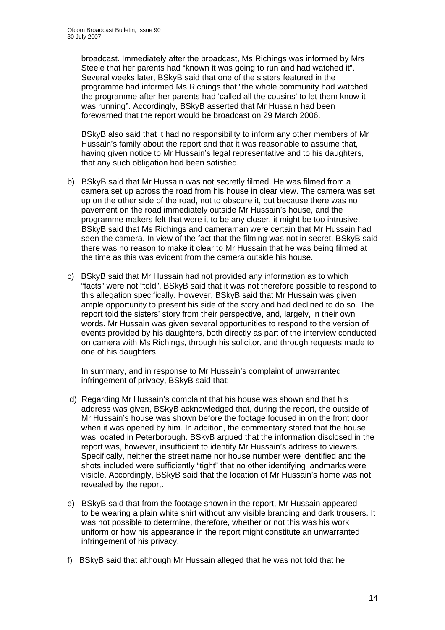broadcast. Immediately after the broadcast, Ms Richings was informed by Mrs Steele that her parents had "known it was going to run and had watched it". Several weeks later, BSkyB said that one of the sisters featured in the programme had informed Ms Richings that "the whole community had watched the programme after her parents had 'called all the cousins' to let them know it was running". Accordingly, BSkyB asserted that Mr Hussain had been forewarned that the report would be broadcast on 29 March 2006.

BSkyB also said that it had no responsibility to inform any other members of Mr Hussain's family about the report and that it was reasonable to assume that, having given notice to Mr Hussain's legal representative and to his daughters, that any such obligation had been satisfied.

- b) BSkyB said that Mr Hussain was not secretly filmed. He was filmed from a camera set up across the road from his house in clear view. The camera was set up on the other side of the road, not to obscure it, but because there was no pavement on the road immediately outside Mr Hussain's house, and the programme makers felt that were it to be any closer, it might be too intrusive. BSkyB said that Ms Richings and cameraman were certain that Mr Hussain had seen the camera. In view of the fact that the filming was not in secret, BSkyB said there was no reason to make it clear to Mr Hussain that he was being filmed at the time as this was evident from the camera outside his house.
- c) BSkyB said that Mr Hussain had not provided any information as to which "facts" were not "told". BSkyB said that it was not therefore possible to respond to this allegation specifically. However, BSkyB said that Mr Hussain was given ample opportunity to present his side of the story and had declined to do so. The report told the sisters' story from their perspective, and, largely, in their own words. Mr Hussain was given several opportunities to respond to the version of events provided by his daughters, both directly as part of the interview conducted on camera with Ms Richings, through his solicitor, and through requests made to one of his daughters.

In summary, and in response to Mr Hussain's complaint of unwarranted infringement of privacy, BSkyB said that:

- d) Regarding Mr Hussain's complaint that his house was shown and that his address was given, BSkyB acknowledged that, during the report, the outside of Mr Hussain's house was shown before the footage focused in on the front door when it was opened by him. In addition, the commentary stated that the house was located in Peterborough. BSkyB argued that the information disclosed in the report was, however, insufficient to identify Mr Hussain's address to viewers. Specifically, neither the street name nor house number were identified and the shots included were sufficiently "tight" that no other identifying landmarks were visible. Accordingly, BSkyB said that the location of Mr Hussain's home was not revealed by the report.
- e) BSkyB said that from the footage shown in the report, Mr Hussain appeared to be wearing a plain white shirt without any visible branding and dark trousers. It was not possible to determine, therefore, whether or not this was his work uniform or how his appearance in the report might constitute an unwarranted infringement of his privacy.
- f) BSkyB said that although Mr Hussain alleged that he was not told that he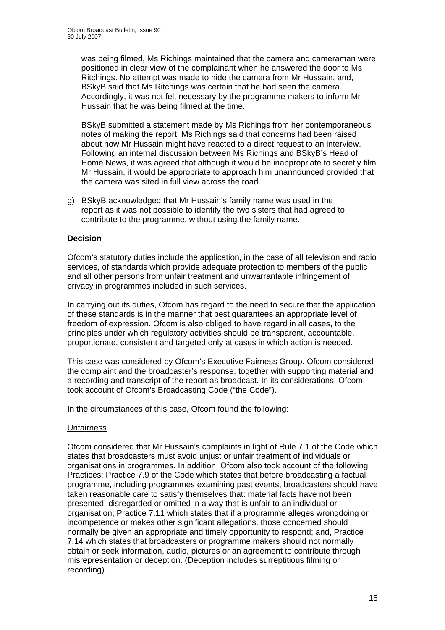was being filmed, Ms Richings maintained that the camera and cameraman were positioned in clear view of the complainant when he answered the door to Ms Ritchings. No attempt was made to hide the camera from Mr Hussain, and, BSkyB said that Ms Ritchings was certain that he had seen the camera. Accordingly, it was not felt necessary by the programme makers to inform Mr Hussain that he was being filmed at the time.

BSkyB submitted a statement made by Ms Richings from her contemporaneous notes of making the report. Ms Richings said that concerns had been raised about how Mr Hussain might have reacted to a direct request to an interview. Following an internal discussion between Ms Richings and BSkyB's Head of Home News, it was agreed that although it would be inappropriate to secretly film Mr Hussain, it would be appropriate to approach him unannounced provided that the camera was sited in full view across the road.

g) BSkyB acknowledged that Mr Hussain's family name was used in the report as it was not possible to identify the two sisters that had agreed to contribute to the programme, without using the family name.

#### **Decision**

Ofcom's statutory duties include the application, in the case of all television and radio services, of standards which provide adequate protection to members of the public and all other persons from unfair treatment and unwarrantable infringement of privacy in programmes included in such services.

In carrying out its duties, Ofcom has regard to the need to secure that the application of these standards is in the manner that best guarantees an appropriate level of freedom of expression. Ofcom is also obliged to have regard in all cases, to the principles under which regulatory activities should be transparent, accountable, proportionate, consistent and targeted only at cases in which action is needed.

This case was considered by Ofcom's Executive Fairness Group. Ofcom considered the complaint and the broadcaster's response, together with supporting material and a recording and transcript of the report as broadcast. In its considerations, Ofcom took account of Ofcom's Broadcasting Code ("the Code").

In the circumstances of this case, Ofcom found the following:

#### Unfairness

Ofcom considered that Mr Hussain's complaints in light of Rule 7.1 of the Code which states that broadcasters must avoid unjust or unfair treatment of individuals or organisations in programmes. In addition, Ofcom also took account of the following Practices: Practice 7.9 of the Code which states that before broadcasting a factual programme, including programmes examining past events, broadcasters should have taken reasonable care to satisfy themselves that: material facts have not been presented, disregarded or omitted in a way that is unfair to an individual or organisation; Practice 7.11 which states that if a programme alleges wrongdoing or incompetence or makes other significant allegations, those concerned should normally be given an appropriate and timely opportunity to respond; and, Practice 7.14 which states that broadcasters or programme makers should not normally obtain or seek information, audio, pictures or an agreement to contribute through misrepresentation or deception. (Deception includes surreptitious filming or recording).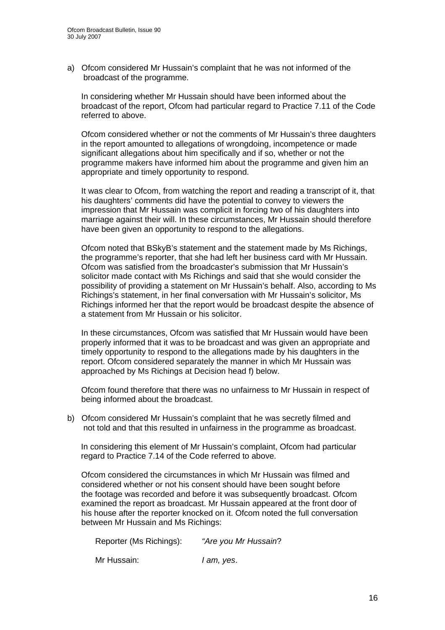a) Ofcom considered Mr Hussain's complaint that he was not informed of the broadcast of the programme.

In considering whether Mr Hussain should have been informed about the broadcast of the report, Ofcom had particular regard to Practice 7.11 of the Code referred to above.

Ofcom considered whether or not the comments of Mr Hussain's three daughters in the report amounted to allegations of wrongdoing, incompetence or made significant allegations about him specifically and if so, whether or not the programme makers have informed him about the programme and given him an appropriate and timely opportunity to respond.

It was clear to Ofcom, from watching the report and reading a transcript of it, that his daughters' comments did have the potential to convey to viewers the impression that Mr Hussain was complicit in forcing two of his daughters into marriage against their will. In these circumstances, Mr Hussain should therefore have been given an opportunity to respond to the allegations.

Ofcom noted that BSkyB's statement and the statement made by Ms Richings, the programme's reporter, that she had left her business card with Mr Hussain. Ofcom was satisfied from the broadcaster's submission that Mr Hussain's solicitor made contact with Ms Richings and said that she would consider the possibility of providing a statement on Mr Hussain's behalf. Also, according to Ms Richings's statement, in her final conversation with Mr Hussain's solicitor, Ms Richings informed her that the report would be broadcast despite the absence of a statement from Mr Hussain or his solicitor.

In these circumstances, Ofcom was satisfied that Mr Hussain would have been properly informed that it was to be broadcast and was given an appropriate and timely opportunity to respond to the allegations made by his daughters in the report. Ofcom considered separately the manner in which Mr Hussain was approached by Ms Richings at Decision head f) below.

Ofcom found therefore that there was no unfairness to Mr Hussain in respect of being informed about the broadcast.

b) Ofcom considered Mr Hussain's complaint that he was secretly filmed and not told and that this resulted in unfairness in the programme as broadcast.

 In considering this element of Mr Hussain's complaint, Ofcom had particular regard to Practice 7.14 of the Code referred to above.

Ofcom considered the circumstances in which Mr Hussain was filmed and considered whether or not his consent should have been sought before the footage was recorded and before it was subsequently broadcast. Ofcom examined the report as broadcast. Mr Hussain appeared at the front door of his house after the reporter knocked on it. Ofcom noted the full conversation between Mr Hussain and Ms Richings:

| Reporter (Ms Richings): | "Are you Mr Hussain? |
|-------------------------|----------------------|
| Mr Hussain:             | l am, yes.           |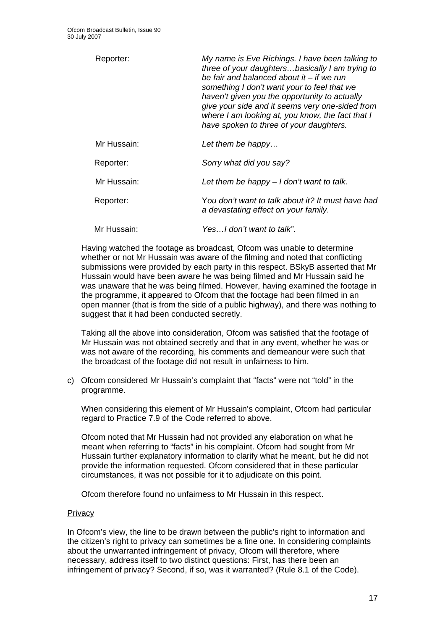| Reporter:   | My name is Eve Richings. I have been talking to<br>three of your daughtersbasically I am trying to<br>be fair and balanced about it – if we run<br>something I don't want your to feel that we<br>haven't given you the opportunity to actually<br>give your side and it seems very one-sided from<br>where I am looking at, you know, the fact that I<br>have spoken to three of your daughters. |
|-------------|---------------------------------------------------------------------------------------------------------------------------------------------------------------------------------------------------------------------------------------------------------------------------------------------------------------------------------------------------------------------------------------------------|
| Mr Hussain: | Let them be happy                                                                                                                                                                                                                                                                                                                                                                                 |
| Reporter:   | Sorry what did you say?                                                                                                                                                                                                                                                                                                                                                                           |
| Mr Hussain: | Let them be happy $-1$ don't want to talk.                                                                                                                                                                                                                                                                                                                                                        |
| Reporter:   | You don't want to talk about it? It must have had<br>a devastating effect on your family.                                                                                                                                                                                                                                                                                                         |
| Mr Hussain: | YesI don't want to talk".                                                                                                                                                                                                                                                                                                                                                                         |

Having watched the footage as broadcast, Ofcom was unable to determine whether or not Mr Hussain was aware of the filming and noted that conflicting submissions were provided by each party in this respect. BSkyB asserted that Mr Hussain would have been aware he was being filmed and Mr Hussain said he was unaware that he was being filmed. However, having examined the footage in the programme, it appeared to Ofcom that the footage had been filmed in an open manner (that is from the side of a public highway), and there was nothing to suggest that it had been conducted secretly.

Taking all the above into consideration, Ofcom was satisfied that the footage of Mr Hussain was not obtained secretly and that in any event, whether he was or was not aware of the recording, his comments and demeanour were such that the broadcast of the footage did not result in unfairness to him.

c) Ofcom considered Mr Hussain's complaint that "facts" were not "told" in the programme.

When considering this element of Mr Hussain's complaint, Ofcom had particular regard to Practice 7.9 of the Code referred to above.

Ofcom noted that Mr Hussain had not provided any elaboration on what he meant when referring to "facts" in his complaint. Ofcom had sought from Mr Hussain further explanatory information to clarify what he meant, but he did not provide the information requested. Ofcom considered that in these particular circumstances, it was not possible for it to adjudicate on this point.

Ofcom therefore found no unfairness to Mr Hussain in this respect.

#### **Privacy**

In Ofcom's view, the line to be drawn between the public's right to information and the citizen's right to privacy can sometimes be a fine one. In considering complaints about the unwarranted infringement of privacy, Ofcom will therefore, where necessary, address itself to two distinct questions: First, has there been an infringement of privacy? Second, if so, was it warranted? (Rule 8.1 of the Code).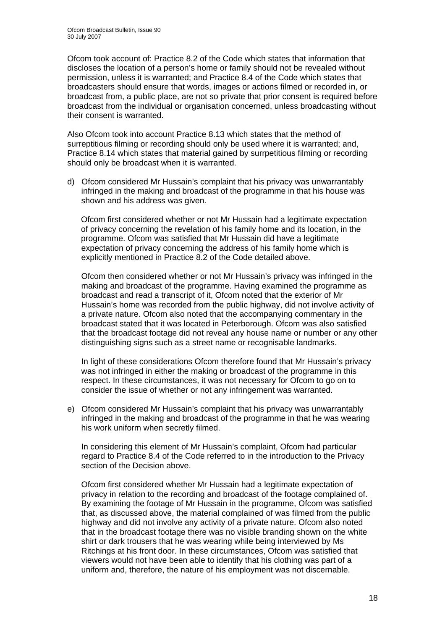Ofcom took account of: Practice 8.2 of the Code which states that information that discloses the location of a person's home or family should not be revealed without permission, unless it is warranted; and Practice 8.4 of the Code which states that broadcasters should ensure that words, images or actions filmed or recorded in, or broadcast from, a public place, are not so private that prior consent is required before broadcast from the individual or organisation concerned, unless broadcasting without their consent is warranted.

Also Ofcom took into account Practice 8.13 which states that the method of surreptitious filming or recording should only be used where it is warranted; and, Practice 8.14 which states that material gained by surrpetitious filming or recording should only be broadcast when it is warranted.

d) Ofcom considered Mr Hussain's complaint that his privacy was unwarrantably infringed in the making and broadcast of the programme in that his house was shown and his address was given.

 Ofcom first considered whether or not Mr Hussain had a legitimate expectation of privacy concerning the revelation of his family home and its location, in the programme. Ofcom was satisfied that Mr Hussain did have a legitimate expectation of privacy concerning the address of his family home which is explicitly mentioned in Practice 8.2 of the Code detailed above.

Ofcom then considered whether or not Mr Hussain's privacy was infringed in the making and broadcast of the programme. Having examined the programme as broadcast and read a transcript of it, Ofcom noted that the exterior of Mr Hussain's home was recorded from the public highway, did not involve activity of a private nature. Ofcom also noted that the accompanying commentary in the broadcast stated that it was located in Peterborough. Ofcom was also satisfied that the broadcast footage did not reveal any house name or number or any other distinguishing signs such as a street name or recognisable landmarks.

In light of these considerations Ofcom therefore found that Mr Hussain's privacy was not infringed in either the making or broadcast of the programme in this respect. In these circumstances, it was not necessary for Ofcom to go on to consider the issue of whether or not any infringement was warranted.

e) Ofcom considered Mr Hussain's complaint that his privacy was unwarrantably infringed in the making and broadcast of the programme in that he was wearing his work uniform when secretly filmed.

 In considering this element of Mr Hussain's complaint, Ofcom had particular regard to Practice 8.4 of the Code referred to in the introduction to the Privacy section of the Decision above.

Ofcom first considered whether Mr Hussain had a legitimate expectation of privacy in relation to the recording and broadcast of the footage complained of. By examining the footage of Mr Hussain in the programme, Ofcom was satisfied that, as discussed above, the material complained of was filmed from the public highway and did not involve any activity of a private nature. Ofcom also noted that in the broadcast footage there was no visible branding shown on the white shirt or dark trousers that he was wearing while being interviewed by Ms Ritchings at his front door. In these circumstances, Ofcom was satisfied that viewers would not have been able to identify that his clothing was part of a uniform and, therefore, the nature of his employment was not discernable.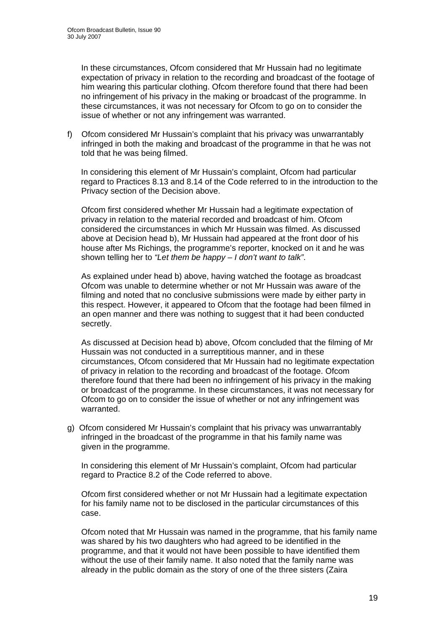In these circumstances, Ofcom considered that Mr Hussain had no legitimate expectation of privacy in relation to the recording and broadcast of the footage of him wearing this particular clothing. Ofcom therefore found that there had been no infringement of his privacy in the making or broadcast of the programme. In these circumstances, it was not necessary for Ofcom to go on to consider the issue of whether or not any infringement was warranted.

f) Ofcom considered Mr Hussain's complaint that his privacy was unwarrantably infringed in both the making and broadcast of the programme in that he was not told that he was being filmed.

 In considering this element of Mr Hussain's complaint, Ofcom had particular regard to Practices 8.13 and 8.14 of the Code referred to in the introduction to the Privacy section of the Decision above.

Ofcom first considered whether Mr Hussain had a legitimate expectation of privacy in relation to the material recorded and broadcast of him. Ofcom considered the circumstances in which Mr Hussain was filmed. As discussed above at Decision head b), Mr Hussain had appeared at the front door of his house after Ms Richings, the programme's reporter, knocked on it and he was shown telling her to *"Let them be happy – I don't want to talk"*.

As explained under head b) above, having watched the footage as broadcast Ofcom was unable to determine whether or not Mr Hussain was aware of the filming and noted that no conclusive submissions were made by either party in this respect. However, it appeared to Ofcom that the footage had been filmed in an open manner and there was nothing to suggest that it had been conducted secretly.

As discussed at Decision head b) above, Ofcom concluded that the filming of Mr Hussain was not conducted in a surreptitious manner, and in these circumstances, Ofcom considered that Mr Hussain had no legitimate expectation of privacy in relation to the recording and broadcast of the footage. Ofcom therefore found that there had been no infringement of his privacy in the making or broadcast of the programme. In these circumstances, it was not necessary for Ofcom to go on to consider the issue of whether or not any infringement was warranted.

g) Ofcom considered Mr Hussain's complaint that his privacy was unwarrantably infringed in the broadcast of the programme in that his family name was given in the programme.

In considering this element of Mr Hussain's complaint, Ofcom had particular regard to Practice 8.2 of the Code referred to above.

Ofcom first considered whether or not Mr Hussain had a legitimate expectation for his family name not to be disclosed in the particular circumstances of this case.

Ofcom noted that Mr Hussain was named in the programme, that his family name was shared by his two daughters who had agreed to be identified in the programme, and that it would not have been possible to have identified them without the use of their family name. It also noted that the family name was already in the public domain as the story of one of the three sisters (Zaira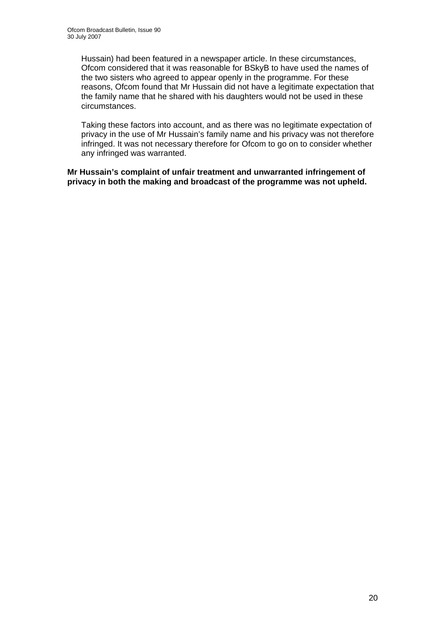Hussain) had been featured in a newspaper article. In these circumstances, Ofcom considered that it was reasonable for BSkyB to have used the names of the two sisters who agreed to appear openly in the programme. For these reasons, Ofcom found that Mr Hussain did not have a legitimate expectation that the family name that he shared with his daughters would not be used in these circumstances.

Taking these factors into account, and as there was no legitimate expectation of privacy in the use of Mr Hussain's family name and his privacy was not therefore infringed. It was not necessary therefore for Ofcom to go on to consider whether any infringed was warranted.

**Mr Hussain's complaint of unfair treatment and unwarranted infringement of privacy in both the making and broadcast of the programme was not upheld.**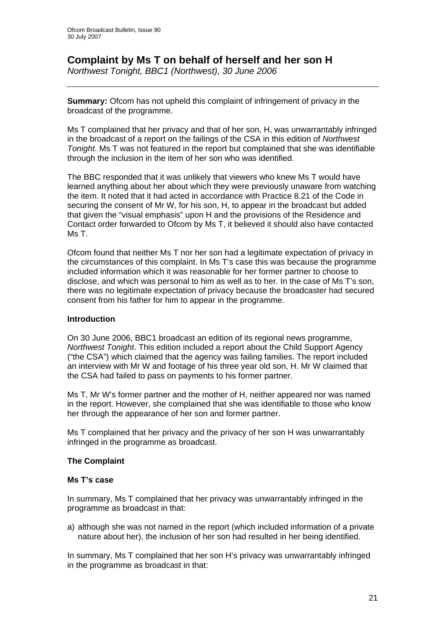## **Complaint by Ms T on behalf of herself and her son H**

*Northwest Tonight, BBC1 (Northwest), 30 June 2006* 

**Summary:** Ofcom has not upheld this complaint of infringement of privacy in the broadcast of the programme.

Ms T complained that her privacy and that of her son, H, was unwarrantably infringed in the broadcast of a report on the failings of the CSA in this edition of *Northwest Tonight*. Ms T was not featured in the report but complained that she was identifiable through the inclusion in the item of her son who was identified.

The BBC responded that it was unlikely that viewers who knew Ms T would have learned anything about her about which they were previously unaware from watching the item. It noted that it had acted in accordance with Practice 8.21 of the Code in securing the consent of Mr W, for his son, H, to appear in the broadcast but added that given the "visual emphasis" upon H and the provisions of the Residence and Contact order forwarded to Ofcom by Ms T, it believed it should also have contacted Ms T.

Ofcom found that neither Ms T nor her son had a legitimate expectation of privacy in the circumstances of this complaint. In Ms T's case this was because the programme included information which it was reasonable for her former partner to choose to disclose, and which was personal to him as well as to her. In the case of Ms T's son, there was no legitimate expectation of privacy because the broadcaster had secured consent from his father for him to appear in the programme.

#### **Introduction**

On 30 June 2006, BBC1 broadcast an edition of its regional news programme, *Northwest Tonight*. This edition included a report about the Child Support Agency ("the CSA") which claimed that the agency was failing families. The report included an interview with Mr W and footage of his three year old son, H. Mr W claimed that the CSA had failed to pass on payments to his former partner.

Ms T, Mr W's former partner and the mother of H, neither appeared nor was named in the report. However, she complained that she was identifiable to those who know her through the appearance of her son and former partner.

Ms T complained that her privacy and the privacy of her son H was unwarrantably infringed in the programme as broadcast.

#### **The Complaint**

#### **Ms T's case**

In summary, Ms T complained that her privacy was unwarrantably infringed in the programme as broadcast in that:

a) although she was not named in the report (which included information of a private nature about her), the inclusion of her son had resulted in her being identified.

In summary, Ms T complained that her son H's privacy was unwarrantably infringed in the programme as broadcast in that: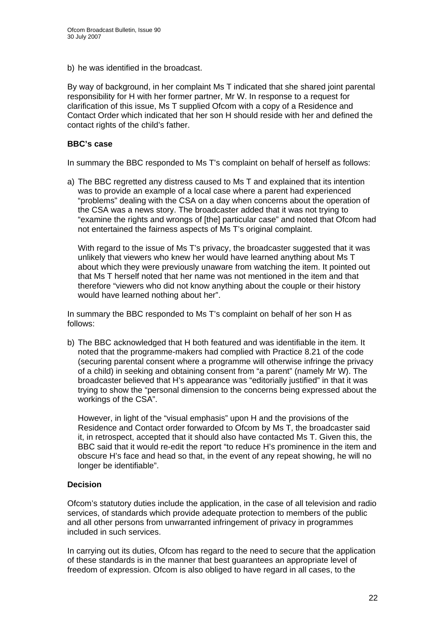b) he was identified in the broadcast.

By way of background, in her complaint Ms T indicated that she shared joint parental responsibility for H with her former partner, Mr W. In response to a request for clarification of this issue, Ms T supplied Ofcom with a copy of a Residence and Contact Order which indicated that her son H should reside with her and defined the contact rights of the child's father.

#### **BBC's case**

In summary the BBC responded to Ms T's complaint on behalf of herself as follows:

a) The BBC regretted any distress caused to Ms T and explained that its intention was to provide an example of a local case where a parent had experienced "problems" dealing with the CSA on a day when concerns about the operation of the CSA was a news story. The broadcaster added that it was not trying to "examine the rights and wrongs of [the] particular case" and noted that Ofcom had not entertained the fairness aspects of Ms T's original complaint.

With regard to the issue of Ms T's privacy, the broadcaster suggested that it was unlikely that viewers who knew her would have learned anything about Ms T about which they were previously unaware from watching the item. It pointed out that Ms T herself noted that her name was not mentioned in the item and that therefore "viewers who did not know anything about the couple or their history would have learned nothing about her".

In summary the BBC responded to Ms T's complaint on behalf of her son H as follows:

b) The BBC acknowledged that H both featured and was identifiable in the item. It noted that the programme-makers had complied with Practice 8.21 of the code (securing parental consent where a programme will otherwise infringe the privacy of a child) in seeking and obtaining consent from "a parent" (namely Mr W). The broadcaster believed that H's appearance was "editorially justified" in that it was trying to show the "personal dimension to the concerns being expressed about the workings of the CSA".

However, in light of the "visual emphasis" upon H and the provisions of the Residence and Contact order forwarded to Ofcom by Ms T, the broadcaster said it, in retrospect, accepted that it should also have contacted Ms T. Given this, the BBC said that it would re-edit the report "to reduce H's prominence in the item and obscure H's face and head so that, in the event of any repeat showing, he will no longer be identifiable".

#### **Decision**

Ofcom's statutory duties include the application, in the case of all television and radio services, of standards which provide adequate protection to members of the public and all other persons from unwarranted infringement of privacy in programmes included in such services.

In carrying out its duties, Ofcom has regard to the need to secure that the application of these standards is in the manner that best guarantees an appropriate level of freedom of expression. Ofcom is also obliged to have regard in all cases, to the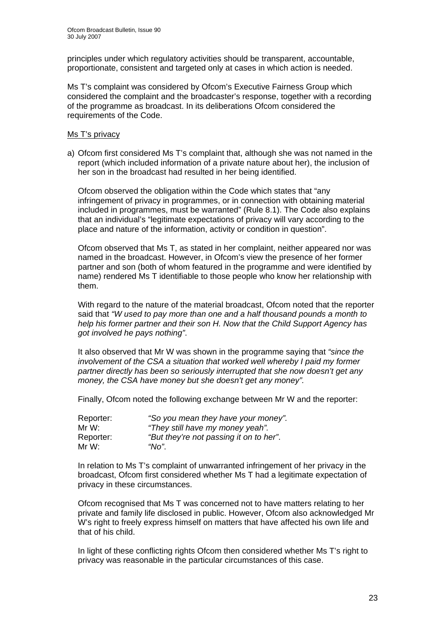principles under which regulatory activities should be transparent, accountable, proportionate, consistent and targeted only at cases in which action is needed.

Ms T's complaint was considered by Ofcom's Executive Fairness Group which considered the complaint and the broadcaster's response, together with a recording of the programme as broadcast. In its deliberations Ofcom considered the requirements of the Code.

#### Ms T's privacy

a) Ofcom first considered Ms T's complaint that, although she was not named in the report (which included information of a private nature about her), the inclusion of her son in the broadcast had resulted in her being identified.

Ofcom observed the obligation within the Code which states that "any infringement of privacy in programmes, or in connection with obtaining material included in programmes, must be warranted" (Rule 8.1). The Code also explains that an individual's "legitimate expectations of privacy will vary according to the place and nature of the information, activity or condition in question".

Ofcom observed that Ms T, as stated in her complaint, neither appeared nor was named in the broadcast. However, in Ofcom's view the presence of her former partner and son (both of whom featured in the programme and were identified by name) rendered Ms T identifiable to those people who know her relationship with them.

With regard to the nature of the material broadcast, Ofcom noted that the reporter said that *"W used to pay more than one and a half thousand pounds a month to help his former partner and their son H. Now that the Child Support Agency has got involved he pays nothing"*.

It also observed that Mr W was shown in the programme saying that *"since the involvement of the CSA a situation that worked well whereby I paid my former partner directly has been so seriously interrupted that she now doesn't get any money, the CSA have money but she doesn't get any money".* 

Finally, Ofcom noted the following exchange between Mr W and the reporter:

| Reporter: | "So you mean they have your money".     |
|-----------|-----------------------------------------|
| Mr W:     | "They still have my money yeah".        |
| Reporter: | "But they're not passing it on to her". |
| Mr W:     | "No"                                    |

In relation to Ms T's complaint of unwarranted infringement of her privacy in the broadcast, Ofcom first considered whether Ms T had a legitimate expectation of privacy in these circumstances.

Ofcom recognised that Ms T was concerned not to have matters relating to her private and family life disclosed in public. However, Ofcom also acknowledged Mr W's right to freely express himself on matters that have affected his own life and that of his child.

In light of these conflicting rights Ofcom then considered whether Ms T's right to privacy was reasonable in the particular circumstances of this case.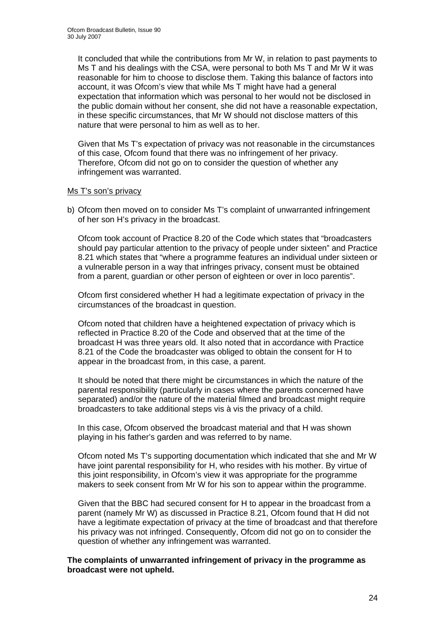It concluded that while the contributions from Mr W, in relation to past payments to Ms T and his dealings with the CSA, were personal to both Ms T and Mr W it was reasonable for him to choose to disclose them. Taking this balance of factors into account, it was Ofcom's view that while Ms T might have had a general expectation that information which was personal to her would not be disclosed in the public domain without her consent, she did not have a reasonable expectation, in these specific circumstances, that Mr W should not disclose matters of this nature that were personal to him as well as to her.

Given that Ms T's expectation of privacy was not reasonable in the circumstances of this case, Ofcom found that there was no infringement of her privacy. Therefore, Ofcom did not go on to consider the question of whether any infringement was warranted.

#### Ms T's son's privacy

b) Ofcom then moved on to consider Ms T's complaint of unwarranted infringement of her son H's privacy in the broadcast.

Ofcom took account of Practice 8.20 of the Code which states that "broadcasters should pay particular attention to the privacy of people under sixteen" and Practice 8.21 which states that "where a programme features an individual under sixteen or a vulnerable person in a way that infringes privacy, consent must be obtained from a parent, guardian or other person of eighteen or over in loco parentis".

Ofcom first considered whether H had a legitimate expectation of privacy in the circumstances of the broadcast in question.

Ofcom noted that children have a heightened expectation of privacy which is reflected in Practice 8.20 of the Code and observed that at the time of the broadcast H was three years old. It also noted that in accordance with Practice 8.21 of the Code the broadcaster was obliged to obtain the consent for H to appear in the broadcast from, in this case, a parent.

It should be noted that there might be circumstances in which the nature of the parental responsibility (particularly in cases where the parents concerned have separated) and/or the nature of the material filmed and broadcast might require broadcasters to take additional steps vis à vis the privacy of a child.

In this case, Ofcom observed the broadcast material and that H was shown playing in his father's garden and was referred to by name.

Ofcom noted Ms T's supporting documentation which indicated that she and Mr W have joint parental responsibility for H, who resides with his mother. By virtue of this joint responsibility, in Ofcom's view it was appropriate for the programme makers to seek consent from Mr W for his son to appear within the programme.

Given that the BBC had secured consent for H to appear in the broadcast from a parent (namely Mr W) as discussed in Practice 8.21, Ofcom found that H did not have a legitimate expectation of privacy at the time of broadcast and that therefore his privacy was not infringed. Consequently, Ofcom did not go on to consider the question of whether any infringement was warranted.

**The complaints of unwarranted infringement of privacy in the programme as broadcast were not upheld.**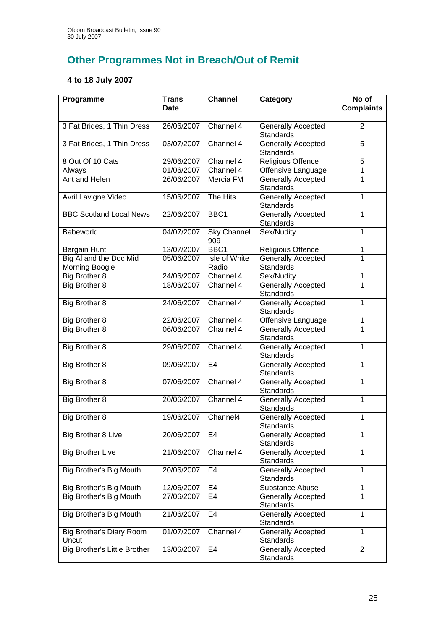# **Other Programmes Not in Breach/Out of Remit**

## **4 to 18 July 2007**

| Programme                           | <b>Trans</b><br><b>Date</b> | <b>Channel</b>            | Category                                      | No of<br><b>Complaints</b> |
|-------------------------------------|-----------------------------|---------------------------|-----------------------------------------------|----------------------------|
| 3 Fat Brides, 1 Thin Dress          | 26/06/2007                  | Channel 4                 | Generally Accepted<br><b>Standards</b>        | $\overline{2}$             |
| 3 Fat Brides, 1 Thin Dress          | 03/07/2007                  | Channel 4                 | <b>Generally Accepted</b><br><b>Standards</b> | $\overline{5}$             |
| 8 Out Of 10 Cats                    | 29/06/2007                  | Channel 4                 | Religious Offence                             | 5                          |
| Always                              | 01/06/2007                  | Channel 4                 | Offensive Language                            | 1                          |
| Ant and Helen                       | 26/06/2007                  | Mercia FM                 | <b>Generally Accepted</b><br>Standards        | 1                          |
| Avril Lavigne Video                 | 15/06/2007                  | The Hits                  | <b>Generally Accepted</b><br>Standards        | $\mathbf{1}$               |
| <b>BBC Scotland Local News</b>      | 22/06/2007                  | BBC1                      | <b>Generally Accepted</b><br>Standards        | 1                          |
| Babeworld                           | 04/07/2007                  | <b>Sky Channel</b><br>909 | Sex/Nudity                                    | $\mathbf{1}$               |
| <b>Bargain Hunt</b>                 | 13/07/2007                  | BBC1                      | Religious Offence                             | 1                          |
| Big AI and the Doc Mid              | 05/06/2007                  | Isle of White             | <b>Generally Accepted</b>                     | 1                          |
| Morning Boogie                      |                             | Radio                     | <b>Standards</b>                              |                            |
| Big Brother 8                       | 24/06/2007<br>18/06/2007    | Channel 4<br>Channel 4    | Sex/Nudity<br><b>Generally Accepted</b>       | 1<br>$\overline{1}$        |
| Big Brother 8                       |                             |                           | Standards                                     |                            |
| Big Brother 8                       | 24/06/2007                  | Channel 4                 | <b>Generally Accepted</b><br>Standards        | $\mathbf{1}$               |
| Big Brother 8                       | 22/06/2007                  | Channel 4                 | Offensive Language                            | 1                          |
| Big Brother 8                       | 06/06/2007                  | Channel 4                 | Generally Accepted<br>Standards               | $\overline{1}$             |
| Big Brother 8                       | 29/06/2007                  | Channel 4                 | Generally Accepted<br><b>Standards</b>        | $\mathbf{1}$               |
| Big Brother 8                       | 09/06/2007                  | E <sub>4</sub>            | Generally Accepted<br>Standards               | $\mathbf{1}$               |
| Big Brother 8                       | 07/06/2007                  | Channel 4                 | <b>Generally Accepted</b><br><b>Standards</b> | $\mathbf{1}$               |
| Big Brother 8                       | 20/06/2007                  | Channel 4                 | <b>Generally Accepted</b><br>Standards        | 1                          |
| Big Brother 8                       | 19/06/2007                  | Channel4                  | Generally Accepted<br>Standards               | 1                          |
| <b>Big Brother 8 Live</b>           | 20/06/2007                  | E4                        | <b>Generally Accepted</b><br>Standards        | 1                          |
| <b>Big Brother Live</b>             | 21/06/2007                  | Channel 4                 | Generally Accepted<br>Standards               | 1                          |
| Big Brother's Big Mouth             | 20/06/2007                  | E4                        | Generally Accepted<br>Standards               | $\mathbf{1}$               |
| Big Brother's Big Mouth             | 12/06/2007                  | E4                        | Substance Abuse                               | 1                          |
| Big Brother's Big Mouth             | 27/06/2007                  | E <sub>4</sub>            | Generally Accepted<br>Standards               | $\mathbf{1}$               |
| Big Brother's Big Mouth             | 21/06/2007                  | E4                        | Generally Accepted<br>Standards               | 1                          |
| Big Brother's Diary Room<br>Uncut   | 01/07/2007                  | Channel 4                 | Generally Accepted<br>Standards               | 1                          |
| <b>Big Brother's Little Brother</b> | 13/06/2007                  | E4                        | <b>Generally Accepted</b><br>Standards        | $\overline{2}$             |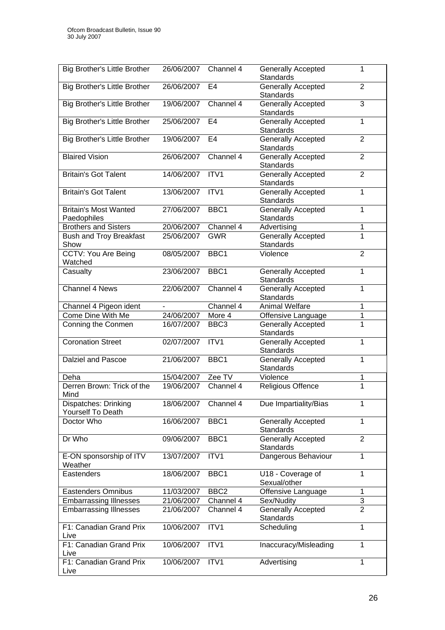| <b>Big Brother's Little Brother</b>         | 26/06/2007      | Channel 4              | <b>Generally Accepted</b><br><b>Standards</b> | 1              |
|---------------------------------------------|-----------------|------------------------|-----------------------------------------------|----------------|
| <b>Big Brother's Little Brother</b>         | 26/06/2007      | E4                     | <b>Generally Accepted</b><br><b>Standards</b> | $\overline{2}$ |
| <b>Big Brother's Little Brother</b>         | 19/06/2007      | Channel 4              | <b>Generally Accepted</b><br><b>Standards</b> | 3              |
| <b>Big Brother's Little Brother</b>         | 25/06/2007      | E4                     | Generally Accepted<br><b>Standards</b>        | 1              |
| <b>Big Brother's Little Brother</b>         | 19/06/2007      | E4                     | <b>Generally Accepted</b><br><b>Standards</b> | $\overline{2}$ |
| <b>Blaired Vision</b>                       | 26/06/2007      | Channel 4              | <b>Generally Accepted</b><br><b>Standards</b> | $\overline{2}$ |
| <b>Britain's Got Talent</b>                 | 14/06/2007      | ITV <sub>1</sub>       | Generally Accepted<br><b>Standards</b>        | $\overline{2}$ |
| <b>Britain's Got Talent</b>                 | 13/06/2007      | ITV <sub>1</sub>       | <b>Generally Accepted</b><br><b>Standards</b> | 1              |
| <b>Britain's Most Wanted</b><br>Paedophiles | 27/06/2007      | BBC <sub>1</sub>       | <b>Generally Accepted</b><br><b>Standards</b> | 1              |
| <b>Brothers and Sisters</b>                 | 20/06/2007      | Channel 4              | Advertising                                   | 1              |
| <b>Bush and Troy Breakfast</b><br>Show      | 25/06/2007      | <b>GWR</b>             | Generally Accepted<br><b>Standards</b>        | 1              |
| CCTV: You Are Being<br>Watched              | 08/05/2007      | BBC <sub>1</sub>       | Violence                                      | $\overline{2}$ |
| Casualty                                    | 23/06/2007      | BBC1                   | Generally Accepted<br><b>Standards</b>        | 1              |
| Channel 4 News                              | 22/06/2007      | Channel 4              | <b>Generally Accepted</b><br><b>Standards</b> | 1              |
| Channel 4 Pigeon ident                      | $\blacksquare$  | Channel 4              | <b>Animal Welfare</b>                         | 1              |
| Come Dine With Me                           | 24/06/2007      | More 4                 | Offensive Language                            | 1              |
| Conning the Conmen                          | 16/07/2007      | BBC <sub>3</sub>       | Generally Accepted<br>Standards               | 1              |
| <b>Coronation Street</b>                    | 02/07/2007      | ITV1                   | <b>Generally Accepted</b><br><b>Standards</b> | $\mathbf{1}$   |
| Dalziel and Pascoe                          | 21/06/2007      | BBC1                   | <b>Generally Accepted</b><br><b>Standards</b> | $\mathbf 1$    |
| Deha                                        | 15/04/2007      | Zee TV                 | Violence                                      | 1              |
| Derren Brown: Trick of the<br>Mind          | 19/06/2007      | Channel 4              | <b>Religious Offence</b>                      | $\overline{1}$ |
| Dispatches: Drinking<br>Yourself To Death   | 18/06/2007      | Channel $\overline{4}$ | Due Impartiality/Bias                         | 1              |
| Doctor Who                                  | 16/06/2007      | BBC1                   | <b>Generally Accepted</b><br><b>Standards</b> | 1              |
| Dr Who                                      | 09/06/2007      | BBC1                   | <b>Generally Accepted</b><br><b>Standards</b> | $\overline{2}$ |
| E-ON sponsorship of ITV<br>Weather          | 13/07/2007      | ITV1                   | Dangerous Behaviour                           | 1              |
| Eastenders                                  | 18/06/2007      | BBC1                   | U18 - Coverage of<br>Sexual/other             | 1              |
| <b>Eastenders Omnibus</b>                   | 11/03/2007      | BBC <sub>2</sub>       | Offensive Language                            | 1              |
| <b>Embarrassing Illnesses</b>               | 21/06/2007      | Channel 4              | Sex/Nudity                                    | $\overline{3}$ |
| <b>Embarrassing Illnesses</b>               | 21/06/2007      | Channel 4              | <b>Generally Accepted</b><br>Standards        | $\overline{2}$ |
| F1: Canadian Grand Prix<br>Live             | 10/06/2007      | ITV1                   | Scheduling                                    | 1              |
| F1: Canadian Grand Prix<br>Live             | 10/06/2007      | ITV1                   | Inaccuracy/Misleading                         | 1              |
| F1: Canadian Grand Prix<br>Live             | 10/06/2007 ITV1 |                        | Advertising                                   | $\mathbf{1}$   |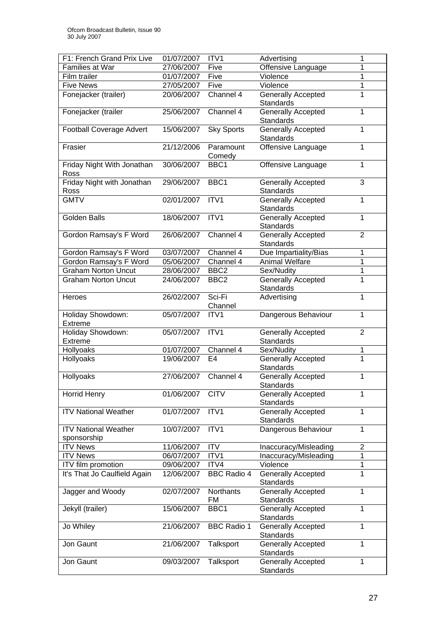| F1: French Grand Prix Live          | 01/07/2007 | ITV1               | Advertising                                   | 1              |
|-------------------------------------|------------|--------------------|-----------------------------------------------|----------------|
| Families at War                     | 27/06/2007 | Five               | Offensive Language                            | 1              |
| Film trailer                        | 01/07/2007 | Five               | Violence                                      | 1              |
| <b>Five News</b>                    | 27/05/2007 | Five               | Violence                                      | 1              |
| Fonejacker (trailer)                | 20/06/2007 | Channel 4          | <b>Generally Accepted</b>                     | 1              |
|                                     |            |                    | <b>Standards</b>                              |                |
| Fonejacker (trailer                 | 25/06/2007 | Channel 4          | Generally Accepted                            | 1              |
|                                     |            |                    | Standards                                     |                |
| <b>Football Coverage Advert</b>     | 15/06/2007 | <b>Sky Sports</b>  | <b>Generally Accepted</b>                     | 1              |
|                                     |            |                    | <b>Standards</b>                              |                |
| Frasier                             | 21/12/2006 | Paramount          | Offensive Language                            | $\mathbf{1}$   |
|                                     |            | Comedy             |                                               |                |
| Friday Night With Jonathan          | 30/06/2007 | BBC <sub>1</sub>   | Offensive Language                            | $\mathbf{1}$   |
| Ross                                |            |                    |                                               |                |
| Friday Night with Jonathan          | 29/06/2007 | BBC1               | <b>Generally Accepted</b>                     | $\overline{3}$ |
| Ross                                |            |                    | <b>Standards</b>                              |                |
| <b>GMTV</b>                         | 02/01/2007 | ITV1               | <b>Generally Accepted</b>                     | $\overline{1}$ |
|                                     |            |                    | Standards                                     |                |
| <b>Golden Balls</b>                 | 18/06/2007 | ITV1               | Generally Accepted                            | $\mathbf{1}$   |
|                                     |            |                    | Standards                                     |                |
| Gordon Ramsay's F Word              | 26/06/2007 | Channel 4          | <b>Generally Accepted</b>                     | $\overline{2}$ |
|                                     |            |                    | Standards                                     |                |
| Gordon Ramsay's F Word              | 03/07/2007 | Channel 4          | Due Impartiality/Bias                         | 1              |
| Gordon Ramsay's F Word              | 05/06/2007 | Channel 4          | <b>Animal Welfare</b>                         | 1              |
| <b>Graham Norton Uncut</b>          | 28/06/2007 | BBC <sub>2</sub>   | Sex/Nudity                                    | 1              |
| <b>Graham Norton Uncut</b>          | 24/06/2007 | BBC2               | <b>Generally Accepted</b>                     | $\mathbf{1}$   |
|                                     |            |                    | <b>Standards</b>                              |                |
| Heroes                              | 26/02/2007 | Sci-Fi             | Advertising                                   | $\mathbf{1}$   |
|                                     |            | Channel            |                                               |                |
| Holiday Showdown:                   | 05/07/2007 | ITV <sub>1</sub>   | Dangerous Behaviour                           | 1              |
| Extreme                             |            |                    |                                               |                |
| Holiday Showdown:<br><b>Extreme</b> | 05/07/2007 | ITV1               | <b>Generally Accepted</b><br><b>Standards</b> | $\overline{2}$ |
| Hollyoaks                           | 01/07/2007 | Channel 4          | Sex/Nudity                                    | 1              |
| Hollyoaks                           | 19/06/2007 | E <sub>4</sub>     | <b>Generally Accepted</b>                     | $\overline{1}$ |
|                                     |            |                    | <b>Standards</b>                              |                |
| Hollyoaks                           | 27/06/2007 | Channel 4          | <b>Generally Accepted</b>                     | 1              |
|                                     |            |                    | Standards                                     |                |
| <b>Horrid Henry</b>                 | 01/06/2007 | <b>CITV</b>        | <b>Generally Accepted</b>                     | 1              |
|                                     |            |                    | Standards                                     |                |
| <b>ITV National Weather</b>         | 01/07/2007 | ITV1               | <b>Generally Accepted</b>                     | 1              |
|                                     |            |                    | Standards                                     |                |
| <b>ITV National Weather</b>         | 10/07/2007 | ITV1               | Dangerous Behaviour                           | 1              |
| sponsorship                         |            |                    |                                               |                |
| <b>ITV News</b>                     | 11/06/2007 | <b>ITV</b>         | Inaccuracy/Misleading                         | $\overline{2}$ |
| <b>ITV News</b>                     | 06/07/2007 | ITV1               | Inaccuracy/Misleading                         | 1              |
| ITV film promotion                  | 09/06/2007 | ITV4               | Violence                                      | 1              |
| It's That Jo Caulfield Again        | 12/06/2007 | <b>BBC Radio 4</b> | <b>Generally Accepted</b>                     | 1              |
|                                     |            |                    | Standards                                     |                |
| Jagger and Woody                    | 02/07/2007 | Northants          | <b>Generally Accepted</b>                     | $\mathbf{1}$   |
|                                     |            | FM                 | Standards                                     |                |
| Jekyll (trailer)                    | 15/06/2007 | BBC1               | <b>Generally Accepted</b>                     | 1              |
|                                     |            |                    | Standards                                     |                |
| Jo Whiley                           | 21/06/2007 | <b>BBC Radio 1</b> | Generally Accepted                            | $\mathbf{1}$   |
|                                     |            |                    | Standards                                     |                |
| Jon Gaunt                           | 21/06/2007 | Talksport          | Generally Accepted                            | $\mathbf{1}$   |
|                                     |            |                    | Standards                                     |                |
| Jon Gaunt                           | 09/03/2007 | Talksport          | <b>Generally Accepted</b>                     | 1              |
|                                     |            |                    | Standards                                     |                |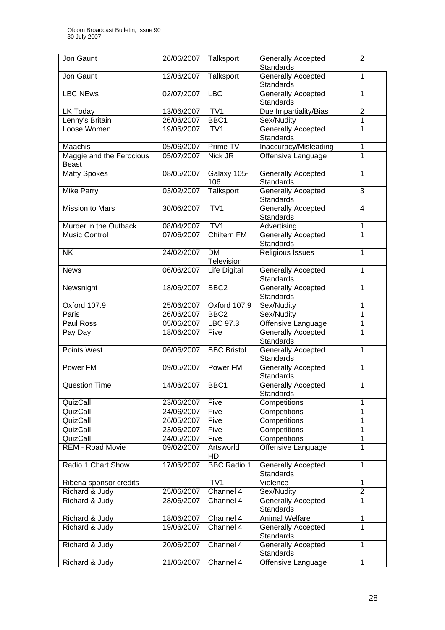| Jon Gaunt                                | 26/06/2007 | Talksport               | <b>Generally Accepted</b><br><b>Standards</b> | $\overline{2}$ |
|------------------------------------------|------------|-------------------------|-----------------------------------------------|----------------|
| Jon Gaunt                                | 12/06/2007 | Talksport               | <b>Generally Accepted</b><br><b>Standards</b> | $\mathbf{1}$   |
| <b>LBC NEws</b>                          | 02/07/2007 | <b>LBC</b>              | Generally Accepted<br><b>Standards</b>        | 1              |
| LK Today                                 | 13/06/2007 | ITV1                    | Due Impartiality/Bias                         | $\overline{2}$ |
| Lenny's Britain                          | 26/06/2007 | BBC1                    | Sex/Nudity                                    | $\mathbf{1}$   |
| Loose Women                              | 19/06/2007 | ITV1                    | <b>Generally Accepted</b>                     | 1              |
|                                          |            |                         | <b>Standards</b>                              |                |
| Maachis                                  | 05/06/2007 | Prime TV                | Inaccuracy/Misleading                         | 1              |
| Maggie and the Ferocious<br><b>Beast</b> | 05/07/2007 | Nick JR                 | Offensive Language                            | 1              |
| Matty Spokes                             | 08/05/2007 | Galaxy 105-<br>106      | <b>Generally Accepted</b><br>Standards        | 1              |
| <b>Mike Parry</b>                        | 03/02/2007 | Talksport               | <b>Generally Accepted</b><br><b>Standards</b> | 3              |
| Mission to Mars                          | 30/06/2007 | ITV1                    | <b>Generally Accepted</b><br><b>Standards</b> | $\overline{4}$ |
| Murder in the Outback                    | 08/04/2007 | ITV1                    | Advertising                                   | $\mathbf{1}$   |
| <b>Music Control</b>                     | 07/06/2007 | <b>Chiltern FM</b>      | <b>Generally Accepted</b>                     | $\overline{1}$ |
|                                          |            |                         | <b>Standards</b>                              |                |
| <b>NK</b>                                | 24/02/2007 | <b>DM</b><br>Television | <b>Religious Issues</b>                       | $\mathbf{1}$   |
| <b>News</b>                              | 06/06/2007 | <b>Life Digital</b>     | Generally Accepted<br><b>Standards</b>        | $\mathbf{1}$   |
| Newsnight                                | 18/06/2007 | BBC <sub>2</sub>        | Generally Accepted<br><b>Standards</b>        | $\mathbf{1}$   |
| Oxford 107.9                             | 25/06/2007 | Oxford 107.9            | Sex/Nudity                                    | $\mathbf 1$    |
| Paris                                    | 26/06/2007 | BBC <sub>2</sub>        | Sex/Nudity                                    | 1              |
| Paul Ross                                | 05/06/2007 | LBC 97.3                | Offensive Language                            | 1              |
| Pay Day                                  | 18/06/2007 | Five                    | <b>Generally Accepted</b><br>Standards        | $\overline{1}$ |
| Points West                              | 06/06/2007 | <b>BBC Bristol</b>      | <b>Generally Accepted</b><br><b>Standards</b> | $\mathbf{1}$   |
| Power FM                                 | 09/05/2007 | Power FM                | Generally Accepted<br><b>Standards</b>        | $\mathbf{1}$   |
| Question Time                            | 14/06/2007 | BBC1                    | Generally Accepted<br>Standards               | $\mathbf{1}$   |
| QuizCall                                 | 23/06/2007 | Five                    | Competitions                                  | 1              |
| QuizCall                                 | 24/06/2007 | Five                    | Competitions                                  | 1              |
| QuizCall                                 | 26/05/2007 | Five                    | Competitions                                  | 1              |
| QuizCall                                 | 23/06/2007 | Five                    | Competitions                                  | 1              |
| QuizCall                                 | 24/05/2007 | Five                    | Competitions                                  | 1              |
| REM - Road Movie                         | 09/02/2007 | Artsworld<br>HD         | Offensive Language                            | 1              |
| Radio 1 Chart Show                       | 17/06/2007 | <b>BBC Radio 1</b>      | Generally Accepted<br><b>Standards</b>        | 1              |
| Ribena sponsor credits                   |            | ITV1                    | Violence                                      | $\mathbf{1}$   |
| Richard & Judy                           | 25/06/2007 | Channel 4               | Sex/Nudity                                    | $\overline{2}$ |
| Richard & Judy                           | 28/06/2007 | Channel 4               | Generally Accepted<br><b>Standards</b>        | 1              |
| Richard & Judy                           | 18/06/2007 | Channel 4               | <b>Animal Welfare</b>                         | 1              |
| Richard & Judy                           | 19/06/2007 | Channel 4               | <b>Generally Accepted</b><br>Standards        | 1              |
| Richard & Judy                           | 20/06/2007 | Channel 4               | Generally Accepted<br><b>Standards</b>        | 1              |
| Richard & Judy                           | 21/06/2007 | Channel 4               | Offensive Language                            | 1              |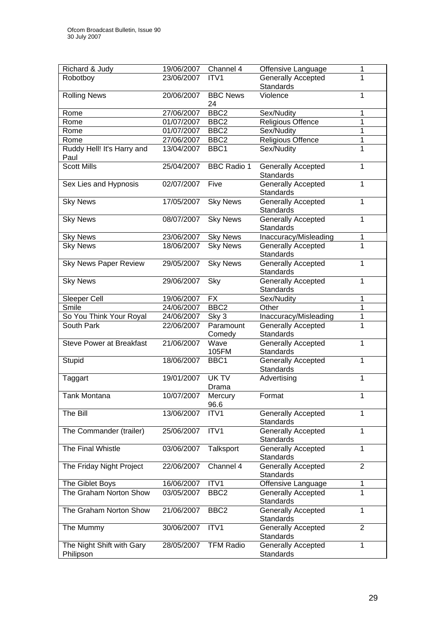| Richard & Judy                  | 19/06/2007 | Channel 4          | Offensive Language        | 1              |
|---------------------------------|------------|--------------------|---------------------------|----------------|
| Robotboy                        | 23/06/2007 | ITV <sub>1</sub>   | Generally Accepted        | 1              |
|                                 |            |                    | <b>Standards</b>          |                |
| <b>Rolling News</b>             | 20/06/2007 | <b>BBC News</b>    | Violence                  | 1              |
|                                 |            | 24                 |                           |                |
| Rome                            | 27/06/2007 | BBC <sub>2</sub>   | Sex/Nudity                | 1              |
| Rome                            | 01/07/2007 | BBC <sub>2</sub>   |                           | $\overline{1}$ |
|                                 |            |                    | Religious Offence         |                |
| Rome                            | 01/07/2007 | BBC <sub>2</sub>   | Sex/Nudity                | $\overline{1}$ |
| Rome                            | 27/06/2007 | BBC <sub>2</sub>   | <b>Religious Offence</b>  | $\overline{1}$ |
| Ruddy Hell! It's Harry and      | 13/04/2007 | BBC1               | Sex/Nudity                | $\overline{1}$ |
| Paul                            |            |                    |                           |                |
| <b>Scott Mills</b>              | 25/04/2007 | <b>BBC</b> Radio 1 | <b>Generally Accepted</b> | 1              |
|                                 |            |                    | <b>Standards</b>          |                |
| Sex Lies and Hypnosis           | 02/07/2007 | Five               | <b>Generally Accepted</b> | $\mathbf{1}$   |
|                                 |            |                    | Standards                 |                |
| <b>Sky News</b>                 | 17/05/2007 | <b>Sky News</b>    | <b>Generally Accepted</b> | $\overline{1}$ |
|                                 |            |                    | Standards                 |                |
| <b>Sky News</b>                 | 08/07/2007 | <b>Sky News</b>    | <b>Generally Accepted</b> | 1              |
|                                 |            |                    | <b>Standards</b>          |                |
| <b>Sky News</b>                 | 23/06/2007 | <b>Sky News</b>    | Inaccuracy/Misleading     | $\mathbf{1}$   |
| <b>Sky News</b>                 | 18/06/2007 | <b>Sky News</b>    | <b>Generally Accepted</b> | 1              |
|                                 |            |                    | Standards                 |                |
| <b>Sky News Paper Review</b>    | 29/05/2007 | <b>Sky News</b>    | Generally Accepted        | $\overline{1}$ |
|                                 |            |                    | <b>Standards</b>          |                |
| <b>Sky News</b>                 | 29/06/2007 | Sky                | <b>Generally Accepted</b> | $\mathbf{1}$   |
|                                 |            |                    | Standards                 |                |
| Sleeper Cell                    | 19/06/2007 | <b>FX</b>          | Sex/Nudity                | 1              |
| Smile                           | 24/06/2007 | BBC <sub>2</sub>   | Other                     | 1              |
| So You Think Your Royal         | 24/06/2007 | Sky 3              | Inaccuracy/Misleading     | 1              |
| South Park                      | 22/06/2007 | Paramount          | <b>Generally Accepted</b> | 1              |
|                                 |            | Comedy             | Standards                 |                |
| <b>Steve Power at Breakfast</b> | 21/06/2007 | Wave               | <b>Generally Accepted</b> | $\mathbf{1}$   |
|                                 |            | 105FM              | Standards                 |                |
| Stupid                          | 18/06/2007 | BBC1               | <b>Generally Accepted</b> | $\mathbf{1}$   |
|                                 |            |                    | <b>Standards</b>          |                |
| Taggart                         | 19/01/2007 | UK TV              | Advertising               | 1              |
|                                 |            | Drama              |                           |                |
| <b>Tank Montana</b>             | 10/07/2007 | Mercury            | Format                    | 1              |
|                                 |            | 96.6               |                           |                |
| The Bill                        | 13/06/2007 | ITV <sub>1</sub>   | <b>Generally Accepted</b> | 1              |
|                                 |            |                    | Standards                 |                |
| The Commander (trailer)         | 25/06/2007 | ITV <sub>1</sub>   | Generally Accepted        | 1              |
|                                 |            |                    | <b>Standards</b>          |                |
| The Final Whistle               | 03/06/2007 | Talksport          | Generally Accepted        | 1              |
|                                 |            |                    | <b>Standards</b>          |                |
| The Friday Night Project        | 22/06/2007 | Channel 4          | <b>Generally Accepted</b> | $\overline{2}$ |
|                                 |            |                    | Standards                 |                |
|                                 |            |                    |                           |                |
| The Giblet Boys                 | 16/06/2007 | ITV1               | Offensive Language        | 1              |
| The Graham Norton Show          | 03/05/2007 | BBC <sub>2</sub>   | Generally Accepted        | 1              |
|                                 |            |                    | Standards                 |                |
| The Graham Norton Show          | 21/06/2007 | BBC <sub>2</sub>   | Generally Accepted        | 1              |
|                                 |            |                    | Standards                 |                |
| The Mummy                       | 30/06/2007 | ITV1               | Generally Accepted        | $\overline{2}$ |
|                                 |            |                    | Standards                 |                |
| The Night Shift with Gary       | 28/05/2007 | <b>TFM Radio</b>   | Generally Accepted        | 1              |
| Philipson                       |            |                    | Standards                 |                |